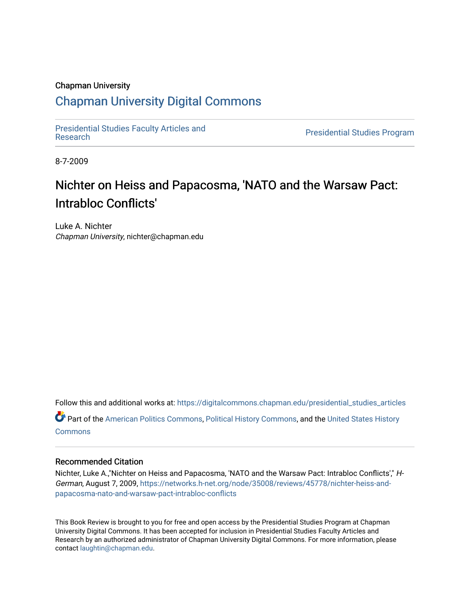### Chapman University

# [Chapman University Digital Commons](https://digitalcommons.chapman.edu/)

[Presidential Studies Faculty Articles and](https://digitalcommons.chapman.edu/presidential_studies_articles) 

**Presidential Studies Program** 

8-7-2009

# Nichter on Heiss and Papacosma, 'NATO and the Warsaw Pact: Intrabloc Conflicts'

Luke A. Nichter Chapman University, nichter@chapman.edu

Follow this and additional works at: [https://digitalcommons.chapman.edu/presidential\\_studies\\_articles](https://digitalcommons.chapman.edu/presidential_studies_articles?utm_source=digitalcommons.chapman.edu%2Fpresidential_studies_articles%2F19&utm_medium=PDF&utm_campaign=PDFCoverPages)  Part of the [American Politics Commons,](http://network.bepress.com/hgg/discipline/387?utm_source=digitalcommons.chapman.edu%2Fpresidential_studies_articles%2F19&utm_medium=PDF&utm_campaign=PDFCoverPages) [Political History Commons,](http://network.bepress.com/hgg/discipline/505?utm_source=digitalcommons.chapman.edu%2Fpresidential_studies_articles%2F19&utm_medium=PDF&utm_campaign=PDFCoverPages) and the [United States History](http://network.bepress.com/hgg/discipline/495?utm_source=digitalcommons.chapman.edu%2Fpresidential_studies_articles%2F19&utm_medium=PDF&utm_campaign=PDFCoverPages) **[Commons](http://network.bepress.com/hgg/discipline/495?utm_source=digitalcommons.chapman.edu%2Fpresidential_studies_articles%2F19&utm_medium=PDF&utm_campaign=PDFCoverPages)** 

### Recommended Citation

Nichter, Luke A.,"Nichter on Heiss and Papacosma, 'NATO and the Warsaw Pact: Intrabloc Conflicts'," H-German, August 7, 2009, [https://networks.h-net.org/node/35008/reviews/45778/nichter-heiss-and](https://networks.h-net.org/node/35008/reviews/45778/nichter-heiss-and-papacosma-nato-and-warsaw-pact-intrabloc-conflicts)[papacosma-nato-and-warsaw-pact-intrabloc-conflicts](https://networks.h-net.org/node/35008/reviews/45778/nichter-heiss-and-papacosma-nato-and-warsaw-pact-intrabloc-conflicts)

This Book Review is brought to you for free and open access by the Presidential Studies Program at Chapman University Digital Commons. It has been accepted for inclusion in Presidential Studies Faculty Articles and Research by an authorized administrator of Chapman University Digital Commons. For more information, please contact [laughtin@chapman.edu](mailto:laughtin@chapman.edu).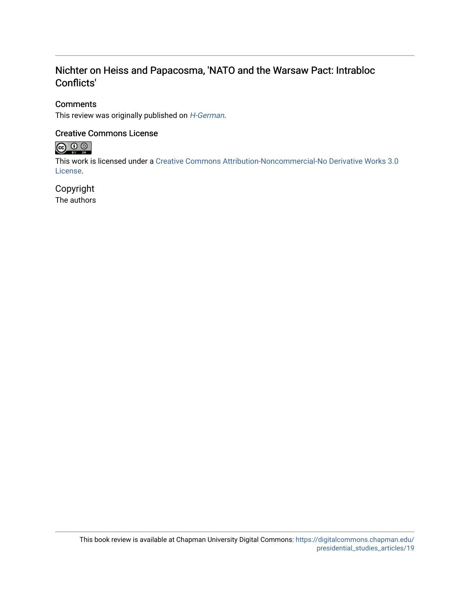## Nichter on Heiss and Papacosma, 'NATO and the Warsaw Pact: Intrabloc Conflicts'

### **Comments**

This review was originally published on *[H-German](https://networks.h-net.org/node/35008/reviews/45778/nichter-heiss-and-papacosma-nato-and-warsaw-pact-intrabloc-conflicts)*.

### Creative Commons License



This work is licensed under a [Creative Commons Attribution-Noncommercial-No Derivative Works 3.0](https://creativecommons.org/licenses/by-nc-nd/3.0/) [License](https://creativecommons.org/licenses/by-nc-nd/3.0/).

## Copyright

The authors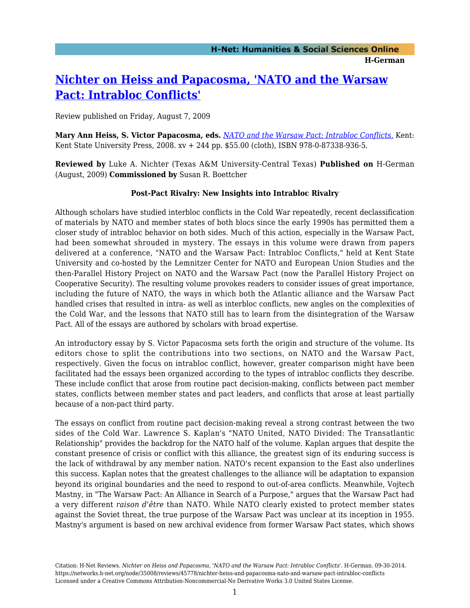# **[Nichter on Heiss and Papacosma, 'NATO and the Warsaw](https://networks.h-net.org/node/35008/reviews/45778/nichter-heiss-and-papacosma-nato-and-warsaw-pact-intrabloc-conflicts) [Pact: Intrabloc Conflicts'](https://networks.h-net.org/node/35008/reviews/45778/nichter-heiss-and-papacosma-nato-and-warsaw-pact-intrabloc-conflicts)**

Review published on Friday, August 7, 2009

**Mary Ann Heiss, S. Victor Papacosma, eds.** *[NATO and the Warsaw Pact: Intrabloc Conflicts.](http://www.amazon.com/exec/obidos/ASIN/0873389360)* Kent: Kent State University Press, 2008. xv + 244 pp. \$55.00 (cloth), ISBN 978-0-87338-936-5.

**Reviewed by** Luke A. Nichter (Texas A&M University-Central Texas) **Published on** H-German (August, 2009) **Commissioned by** Susan R. Boettcher

### **Post-Pact Rivalry: New Insights into Intrabloc Rivalry**

Although scholars have studied interbloc conflicts in the Cold War repeatedly, recent declassification of materials by NATO and member states of both blocs since the early 1990s has permitted them a closer study of intrabloc behavior on both sides. Much of this action, especially in the Warsaw Pact, had been somewhat shrouded in mystery. The essays in this volume were drawn from papers delivered at a conference, "NATO and the Warsaw Pact: Intrabloc Conflicts," held at Kent State University and co-hosted by the Lemnitzer Center for NATO and European Union Studies and the then-Parallel History Project on NATO and the Warsaw Pact (now the Parallel History Project on Cooperative Security). The resulting volume provokes readers to consider issues of great importance, including the future of NATO, the ways in which both the Atlantic alliance and the Warsaw Pact handled crises that resulted in intra- as well as interbloc conflicts, new angles on the complexities of the Cold War, and the lessons that NATO still has to learn from the disintegration of the Warsaw Pact. All of the essays are authored by scholars with broad expertise.

An introductory essay by S. Victor Papacosma sets forth the origin and structure of the volume. Its editors chose to split the contributions into two sections, on NATO and the Warsaw Pact, respectively. Given the focus on intrabloc conflict, however, greater comparison might have been facilitated had the essays been organized according to the types of intrabloc conflicts they describe. These include conflict that arose from routine pact decision-making, conflicts between pact member states, conflicts between member states and pact leaders, and conflicts that arose at least partially because of a non-pact third party.

The essays on conflict from routine pact decision-making reveal a strong contrast between the two sides of the Cold War. Lawrence S. Kaplan's "NATO United, NATO Divided: The Transatlantic Relationship" provides the backdrop for the NATO half of the volume. Kaplan argues that despite the constant presence of crisis or conflict with this alliance, the greatest sign of its enduring success is the lack of withdrawal by any member nation. NATO's recent expansion to the East also underlines this success. Kaplan notes that the greatest challenges to the alliance will be adaptation to expansion beyond its original boundaries and the need to respond to out-of-area conflicts. Meanwhile, Vojtech Mastny, in "The Warsaw Pact: An Alliance in Search of a Purpose," argues that the Warsaw Pact had a very different *raison d'être* than NATO. While NATO clearly existed to protect member states against the Soviet threat, the true purpose of the Warsaw Pact was unclear at its inception in 1955. Mastny's argument is based on new archival evidence from former Warsaw Pact states, which shows

Citation: H-Net Reviews. *Nichter on Heiss and Papacosma, 'NATO and the Warsaw Pact: Intrabloc Conflicts'*. H-German. 09-30-2014. https://networks.h-net.org/node/35008/reviews/45778/nichter-heiss-and-papacosma-nato-and-warsaw-pact-intrabloc-conflicts Licensed under a Creative Commons Attribution-Noncommercial-No Derivative Works 3.0 United States License.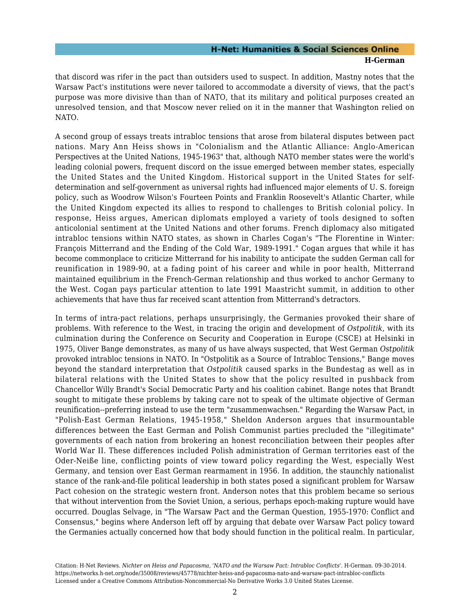### **H-Net: Humanities & Social Sciences Online H-German**

that discord was rifer in the pact than outsiders used to suspect. In addition, Mastny notes that the Warsaw Pact's institutions were never tailored to accommodate a diversity of views, that the pact's purpose was more divisive than than of NATO, that its military and political purposes created an unresolved tension, and that Moscow never relied on it in the manner that Washington relied on NATO.

A second group of essays treats intrabloc tensions that arose from bilateral disputes between pact nations. Mary Ann Heiss shows in "Colonialism and the Atlantic Alliance: Anglo-American Perspectives at the United Nations, 1945-1963" that, although NATO member states were the world's leading colonial powers, frequent discord on the issue emerged between member states, especially the United States and the United Kingdom. Historical support in the United States for selfdetermination and self-government as universal rights had influenced major elements of U. S. foreign policy, such as Woodrow Wilson's Fourteen Points and Franklin Roosevelt's Atlantic Charter, while the United Kingdom expected its allies to respond to challenges to British colonial policy. In response, Heiss argues, American diplomats employed a variety of tools designed to soften anticolonial sentiment at the United Nations and other forums. French diplomacy also mitigated intrabloc tensions within NATO states, as shown in Charles Cogan's "The Florentine in Winter: François Mitterrand and the Ending of the Cold War, 1989-1991." Cogan argues that while it has become commonplace to criticize Mitterrand for his inability to anticipate the sudden German call for reunification in 1989-90, at a fading point of his career and while in poor health, Mitterrand maintained equilibrium in the French-German relationship and thus worked to anchor Germany to the West. Cogan pays particular attention to late 1991 Maastricht summit, in addition to other achievements that have thus far received scant attention from Mitterrand's detractors.

In terms of intra-pact relations, perhaps unsurprisingly, the Germanies provoked their share of problems. With reference to the West, in tracing the origin and development of *Ostpolitik*, with its culmination during the Conference on Security and Cooperation in Europe (CSCE) at Helsinki in 1975, Oliver Bange demonstrates, as many of us have always suspected, that West German *Ostpolitik* provoked intrabloc tensions in NATO. In "Ostpolitik as a Source of Intrabloc Tensions," Bange moves beyond the standard interpretation that *Ostpolitik* caused sparks in the Bundestag as well as in bilateral relations with the United States to show that the policy resulted in pushback from Chancellor Willy Brandt's Social Democratic Party and his coalition cabinet. Bange notes that Brandt sought to mitigate these problems by taking care not to speak of the ultimate objective of German reunification--preferring instead to use the term "zusammenwachsen." Regarding the Warsaw Pact, in "Polish-East German Relations, 1945-1958," Sheldon Anderson argues that insurmountable differences between the East German and Polish Communist parties precluded the "illegitimate" governments of each nation from brokering an honest reconciliation between their peoples after World War II. These differences included Polish administration of German territories east of the Oder-Neiße line, conflicting points of view toward policy regarding the West, especially West Germany, and tension over East German rearmament in 1956. In addition, the staunchly nationalist stance of the rank-and-file political leadership in both states posed a significant problem for Warsaw Pact cohesion on the strategic western front. Anderson notes that this problem became so serious that without intervention from the Soviet Union, a serious, perhaps epoch-making rupture would have occurred. Douglas Selvage, in "The Warsaw Pact and the German Question, 1955-1970: Conflict and Consensus," begins where Anderson left off by arguing that debate over Warsaw Pact policy toward the Germanies actually concerned how that body should function in the political realm. In particular,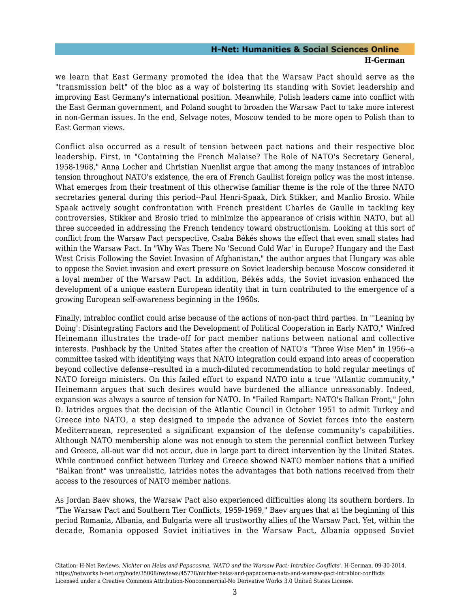### **H-Net: Humanities & Social Sciences Online H-German**

we learn that East Germany promoted the idea that the Warsaw Pact should serve as the "transmission belt" of the bloc as a way of bolstering its standing with Soviet leadership and improving East Germany's international position. Meanwhile, Polish leaders came into conflict with the East German government, and Poland sought to broaden the Warsaw Pact to take more interest in non-German issues. In the end, Selvage notes, Moscow tended to be more open to Polish than to East German views.

Conflict also occurred as a result of tension between pact nations and their respective bloc leadership. First, in "Containing the French Malaise? The Role of NATO's Secretary General, 1958-1968," Anna Locher and Christian Nuenlist argue that among the many instances of intrabloc tension throughout NATO's existence, the era of French Gaullist foreign policy was the most intense. What emerges from their treatment of this otherwise familiar theme is the role of the three NATO secretaries general during this period--Paul Henri-Spaak, Dirk Stikker, and Manlio Brosio. While Spaak actively sought confrontation with French president Charles de Gaulle in tackling key controversies, Stikker and Brosio tried to minimize the appearance of crisis within NATO, but all three succeeded in addressing the French tendency toward obstructionism. Looking at this sort of conflict from the Warsaw Pact perspective, Csaba Békés shows the effect that even small states had within the Warsaw Pact. In "Why Was There No 'Second Cold War' in Europe? Hungary and the East West Crisis Following the Soviet Invasion of Afghanistan," the author argues that Hungary was able to oppose the Soviet invasion and exert pressure on Soviet leadership because Moscow considered it a loyal member of the Warsaw Pact. In addition, Békés adds, the Soviet invasion enhanced the development of a unique eastern European identity that in turn contributed to the emergence of a growing European self-awareness beginning in the 1960s.

Finally, intrabloc conflict could arise because of the actions of non-pact third parties. In "'Leaning by Doing': Disintegrating Factors and the Development of Political Cooperation in Early NATO," Winfred Heinemann illustrates the trade-off for pact member nations between national and collective interests. Pushback by the United States after the creation of NATO's "Three Wise Men" in 1956--a committee tasked with identifying ways that NATO integration could expand into areas of cooperation beyond collective defense--resulted in a much-diluted recommendation to hold regular meetings of NATO foreign ministers. On this failed effort to expand NATO into a true "Atlantic community," Heinemann argues that such desires would have burdened the alliance unreasonably. Indeed, expansion was always a source of tension for NATO. In "Failed Rampart: NATO's Balkan Front," John D. Iatrides argues that the decision of the Atlantic Council in October 1951 to admit Turkey and Greece into NATO, a step designed to impede the advance of Soviet forces into the eastern Mediterranean, represented a significant expansion of the defense community's capabilities. Although NATO membership alone was not enough to stem the perennial conflict between Turkey and Greece, all-out war did not occur, due in large part to direct intervention by the United States. While continued conflict between Turkey and Greece showed NATO member nations that a unified "Balkan front" was unrealistic, Iatrides notes the advantages that both nations received from their access to the resources of NATO member nations.

As Jordan Baev shows, the Warsaw Pact also experienced difficulties along its southern borders. In "The Warsaw Pact and Southern Tier Conflicts, 1959-1969," Baev argues that at the beginning of this period Romania, Albania, and Bulgaria were all trustworthy allies of the Warsaw Pact. Yet, within the decade, Romania opposed Soviet initiatives in the Warsaw Pact, Albania opposed Soviet

Citation: H-Net Reviews. *Nichter on Heiss and Papacosma, 'NATO and the Warsaw Pact: Intrabloc Conflicts'*. H-German. 09-30-2014. https://networks.h-net.org/node/35008/reviews/45778/nichter-heiss-and-papacosma-nato-and-warsaw-pact-intrabloc-conflicts Licensed under a Creative Commons Attribution-Noncommercial-No Derivative Works 3.0 United States License.